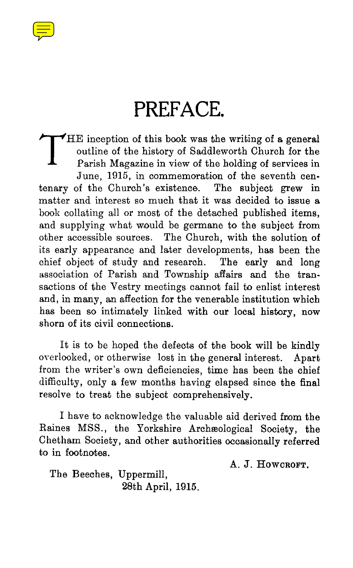

## PREFACE.

T  $\blacktriangledown$ HE inception of this book was the writing of a general outline of the history of Saddleworth Church for the Parish Magazine in view of the holding of services in June, 1915, in commemoration of the seventh centenary of the Church's existence. The subject grew in matter and interest so much that it was decided to issue a book collating all or most of the detached published items, and supplying what would be germane to the subject from other accessible sources . The Church, with the solution of its early appearance and later developments, has been the chief object of study and research. The early and long association of Parish and Township affairs and the transactions of the Vestry meetings cannot fail to enlist interest and, in many, an affection for the venerable institution which has been so intimately linked with our local history, now shorn of its civil connections.

It is to be hoped the defects of the book will be kindly overlooked, or otherwise lost in the general interest. Apart from the writer's own deficiencies, time has been the chief difficulty, only a few months having elapsed since the final resolve to treat the subject comprehensively.

I have to acknowledge the valuable aid derived from the Raines MSS., the Yorkshire Archæological Society, the Chetham Society, and other authorities occasionally referred to in footnotes.

A. J. HOWCROFT.

The Beeches, Uppermill, 28th April, 1915.